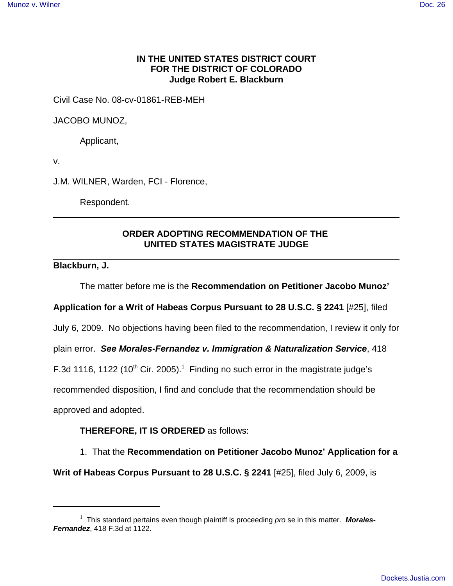### **IN THE UNITED STATES DISTRICT COURT FOR THE DISTRICT OF COLORADO Judge Robert E. Blackburn**

Civil Case No. 08-cv-01861-REB-MEH

JACOBO MUNOZ,

Applicant,

v.

J.M. WILNER, Warden, FCI - Florence,

Respondent.

## **ORDER ADOPTING RECOMMENDATION OF THE UNITED STATES MAGISTRATE JUDGE**

### **Blackburn, J.**

The matter before me is the **Recommendation on Petitioner Jacobo Munoz'**

**Application for a Writ of Habeas Corpus Pursuant to 28 U.S.C. § 2241** [#25], filed

July 6, 2009. No objections having been filed to the recommendation, I review it only for

plain error. **See Morales-Fernandez v. Immigration & Naturalization Service**, 418

F.3d 1116, 1122 (10<sup>th</sup> Cir. 2005).<sup>1</sup> Finding no such error in the magistrate judge's

recommended disposition, I find and conclude that the recommendation should be

approved and adopted.

#### **THEREFORE, IT IS ORDERED** as follows:

1. That the **Recommendation on Petitioner Jacobo Munoz' Application for a**

**Writ of Habeas Corpus Pursuant to 28 U.S.C. § 2241** [#25], filed July 6, 2009, is

<sup>&</sup>lt;sup>1</sup> This standard pertains even though plaintiff is proceeding *pro* se in this matter. Morales-**Fernandez**, 418 F.3d at 1122.